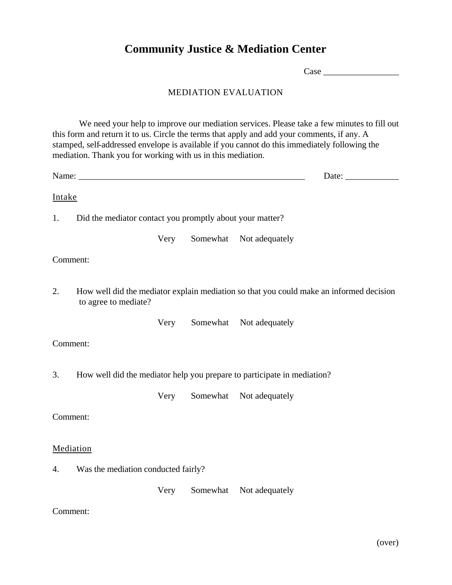# **Community Justice & Mediation Center**

 $Case$ 

# MEDIATION EVALUATION

We need your help to improve our mediation services. Please take a few minutes to fill out this form and return it to us. Circle the terms that apply and add your comments, if any. A stamped, self-addressed envelope is available if you cannot do this immediately following the mediation. Thank you for working with us in this mediation.

Name: \_\_\_\_\_\_\_\_\_\_\_\_\_\_\_\_\_\_\_\_\_\_\_\_\_\_\_\_\_\_\_\_\_\_\_\_\_\_\_\_\_\_\_\_\_\_\_\_\_\_\_ Date: \_\_\_\_\_\_\_\_\_\_\_\_

## Intake

1. Did the mediator contact you promptly about your matter?

Very Somewhat Not adequately

## Comment:

2. How well did the mediator explain mediation so that you could make an informed decision to agree to mediate?

Very Somewhat Not adequately

## Comment:

3. How well did the mediator help you prepare to participate in mediation?

Very Somewhat Not adequately

#### Comment:

#### Mediation

4. Was the mediation conducted fairly?

Very Somewhat Not adequately

#### Comment: